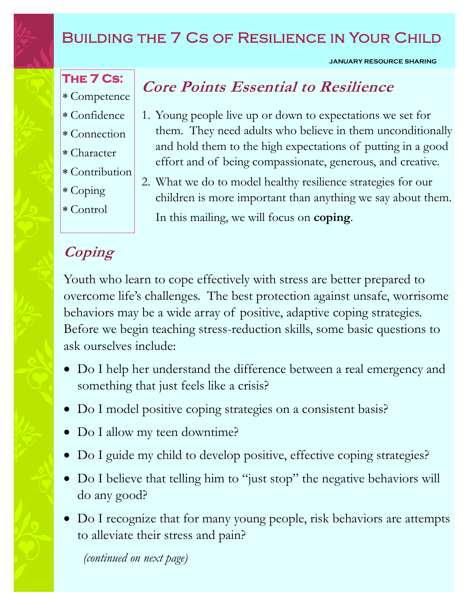# BUILDING THE 7 CS OF RESILIENCE IN YOUR CHILD

### **JANUARY RESOURCE SHARING**

# **The 7 Cs:**

- Competence
- Confidence
- Connection
- Character
- Contribution
- Coping
- Control

# **Coping**

# **Core Points Essential to Resilience**

- 1. Young people live up or down to expectations we set for them. They need adults who believe in them unconditionally and hold them to the high expectations of putting in a good effort and of being compassionate, generous, and creative.
- 2. What we do to model healthy resilience strategies for our children is more important than anything we say about them. In this mailing, we will focus on **coping**.

Youth who learn to cope effectively with stress are better prepared to overcome life's challenges. The best protection against unsafe, worrisome behaviors may be a wide array of positive, adaptive coping strategies. Before we begin teaching stress-reduction skills, some basic questions to ask ourselves include:

- Do I help her understand the difference between a real emergency and something that just feels like a crisis?
- Do I model positive coping strategies on a consistent basis?
- Do I allow my teen downtime?
- Do I guide my child to develop positive, effective coping strategies?
- Do I believe that telling him to "just stop" the negative behaviors will do any good?
- Do I recognize that for many young people, risk behaviors are attempts to alleviate their stress and pain?

*(continued on next page)*